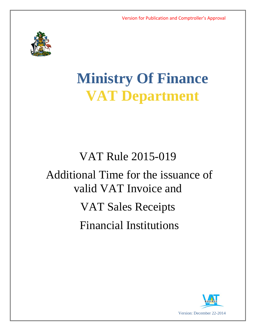

# **Ministry Of Finance VAT Department**

## VAT Rule 2015-019

## Additional Time for the issuance of valid VAT Invoice and VAT Sales Receipts Financial Institutions

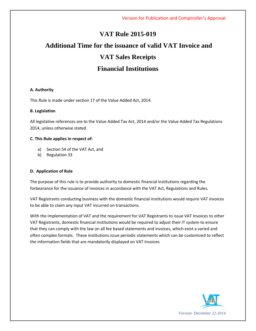### **VAT Rule 2015-019**

### **Additional Time for the issuance of valid VAT Invoice and VAT Sales Receipts Financial Institutions**

#### **A. Authority**

This Rule is made under section 17 of the Value Added Act, 2014.

#### **B. Legislation**

All legislative references are to the Value Added Tax Act, 2014 and/or the Value Added Tax Regulations 2014, unless otherwise stated.

#### **C. This Rule applies in respect of:**

- a) Section 54 of the VAT Act, and
- b) Regulation 33

#### **D. Application of Rule**

The purpose of this rule is to provide authority to domestic financial institutions regarding the forbearance for the issuance of invoices in accordance with the VAT Act, Regulations and Rules.

VAT Registrants conducting business with the domestic financial institutions would require VAT invoices to be able to claim any input VAT incurred on transactions.

With the implementation of VAT and the requirement for VAT Registrants to issue VAT Invoices to other VAT Registrants, domestic financial institutions would be required to adjust their IT system to ensure that they can comply with the law on all fee based statements and invoices, which exist a varied and often complex formats. These institutions issue periodic statements which can be customized to reflect the information fields that are mandatorily displayed on VAT Invoices